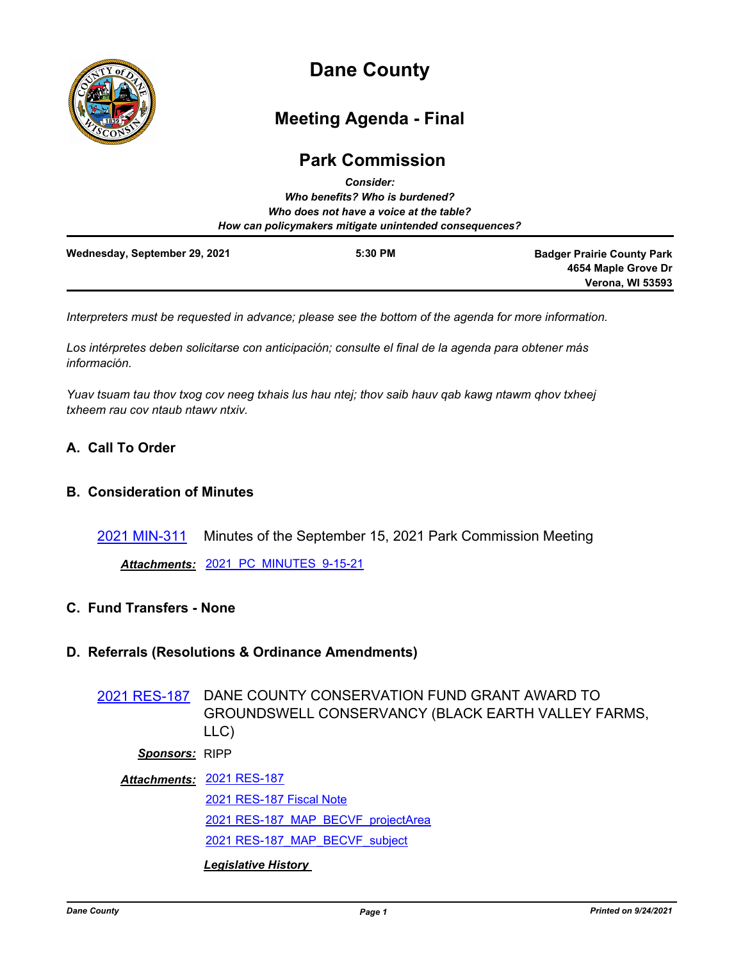

# **Dane County**

# **Meeting Agenda - Final**

# **Park Commission**

|                               | <b>Consider:</b><br>Who benefits? Who is burdened?<br>Who does not have a voice at the table? |                                                                                     |
|-------------------------------|-----------------------------------------------------------------------------------------------|-------------------------------------------------------------------------------------|
|                               | How can policymakers mitigate unintended consequences?                                        |                                                                                     |
| Wednesday, September 29, 2021 | 5:30 PM                                                                                       | <b>Badger Prairie County Park</b><br>4654 Maple Grove Dr<br><b>Verona, WI 53593</b> |

*Interpreters must be requested in advance; please see the bottom of the agenda for more information.*

*Los intérpretes deben solicitarse con anticipación; consulte el final de la agenda para obtener más información.*

*Yuav tsuam tau thov txog cov neeg txhais lus hau ntej; thov saib hauv qab kawg ntawm qhov txheej txheem rau cov ntaub ntawv ntxiv.*

# **A. Call To Order**

# **B. Consideration of Minutes**

[2021 MIN-311](http://dane.legistar.com/gateway.aspx?m=l&id=/matter.aspx?key=21123) Minutes of the September 15, 2021 Park Commission Meeting

*Attachments:* [2021\\_PC\\_MINUTES\\_9-15-21](http://dane.legistar.com/gateway.aspx?M=F&ID=b772c18d-2f64-4ed8-9db0-f63a21cba517.pdf)

# **C. Fund Transfers - None**

#### **D. Referrals (Resolutions & Ordinance Amendments)**

[2021 RES-187](http://dane.legistar.com/gateway.aspx?m=l&id=/matter.aspx?key=21066) DANE COUNTY CONSERVATION FUND GRANT AWARD TO GROUNDSWELL CONSERVANCY (BLACK EARTH VALLEY FARMS, LLC)

# *Sponsors:* RIPP

[2021 RES-187](http://dane.legistar.com/gateway.aspx?M=F&ID=bfa9c8c3-445c-48c1-b749-dcd2f07300c8.pdf) *Attachments:* [2021 RES-187 Fiscal Note](http://dane.legistar.com/gateway.aspx?M=F&ID=f18e57c0-3720-420b-8c20-2f9775ea94dd.pdf) [2021 RES-187\\_MAP\\_BECVF\\_projectArea](http://dane.legistar.com/gateway.aspx?M=F&ID=2e0b1a58-3678-4d20-aeae-d876b82518ca.pdf) [2021 RES-187\\_MAP\\_BECVF\\_subject](http://dane.legistar.com/gateway.aspx?M=F&ID=d6f33b7e-8512-45af-b510-bedeba91b0e6.pdf) *Legislative History*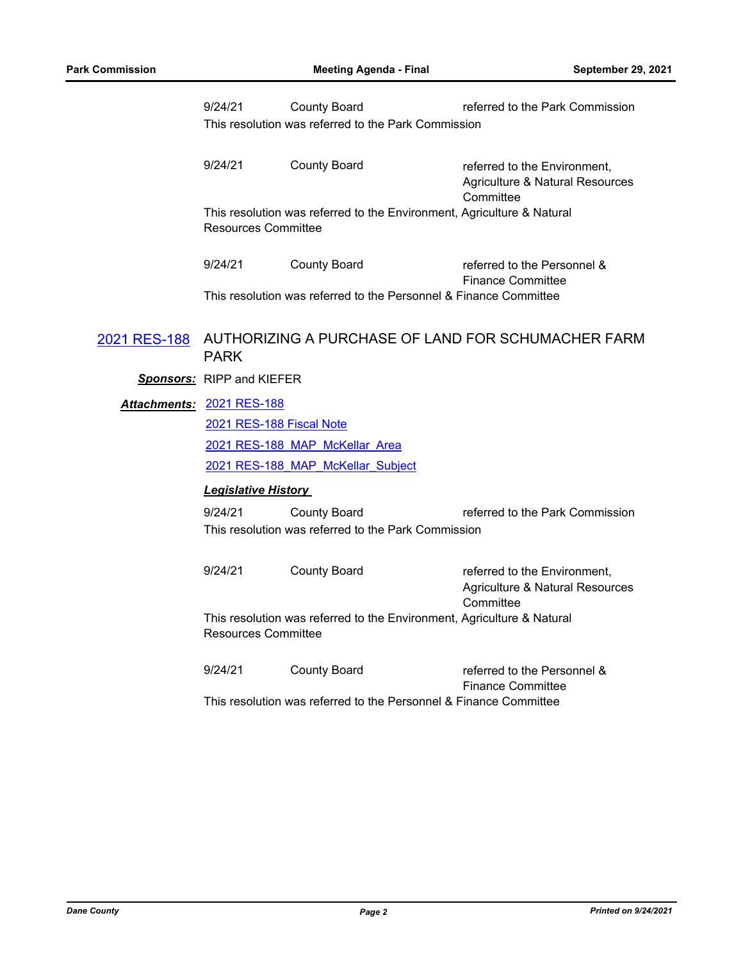| 9/24/21             | <b>County Board</b>                                 | referred to the Park Commission                                        |
|---------------------|-----------------------------------------------------|------------------------------------------------------------------------|
|                     | This resolution was referred to the Park Commission |                                                                        |
|                     |                                                     |                                                                        |
| 9/24/21             | County Board                                        | referred to the Environment,                                           |
|                     |                                                     | Agriculture & Natural Resources                                        |
|                     |                                                     | Committee                                                              |
|                     |                                                     | This resolution was referred to the Environment, Agriculture & Natural |
| Resources Committee |                                                     |                                                                        |
|                     |                                                     |                                                                        |
| 9/24/21             | County Board                                        | referred to the Personnel &                                            |
|                     |                                                     | <b>Finance Committee</b>                                               |

This resolution was referred to the Personnel & Finance Committee

# [2021 RES-188](http://dane.legistar.com/gateway.aspx?m=l&id=/matter.aspx?key=21067) AUTHORIZING A PURCHASE OF LAND FOR SCHUMACHER FARM PARK

*Sponsors:* RIPP and KIEFER

[2021 RES-188](http://dane.legistar.com/gateway.aspx?M=F&ID=24aff98c-3b08-49ba-ac21-acb1675c87af.pdf) *Attachments:*

[2021 RES-188 Fiscal Note](http://dane.legistar.com/gateway.aspx?M=F&ID=749304d4-2ba1-4d32-9ffb-0432d88da334.pdf)

[2021 RES-188\\_MAP\\_McKellar\\_Area](http://dane.legistar.com/gateway.aspx?M=F&ID=6536f787-4323-48ce-bf23-5bb77c781b38.pdf)

[2021 RES-188\\_MAP\\_McKellar\\_Subject](http://dane.legistar.com/gateway.aspx?M=F&ID=532b7ddd-2a70-419c-9a8f-84596edf0140.pdf)

# *Legislative History*

9/24/21 County Board referred to the Park Commission This resolution was referred to the Park Commission

| 9/24/21             | County Board | referred to the Environment,                                           |
|---------------------|--------------|------------------------------------------------------------------------|
|                     |              | Agriculture & Natural Resources                                        |
|                     |              | Committee                                                              |
| Resources Committee |              | This resolution was referred to the Environment, Agriculture & Natural |
| 0/01/01             |              |                                                                        |

9/24/21 County Board referred to the Personnel & Finance Committee This resolution was referred to the Personnel & Finance Committee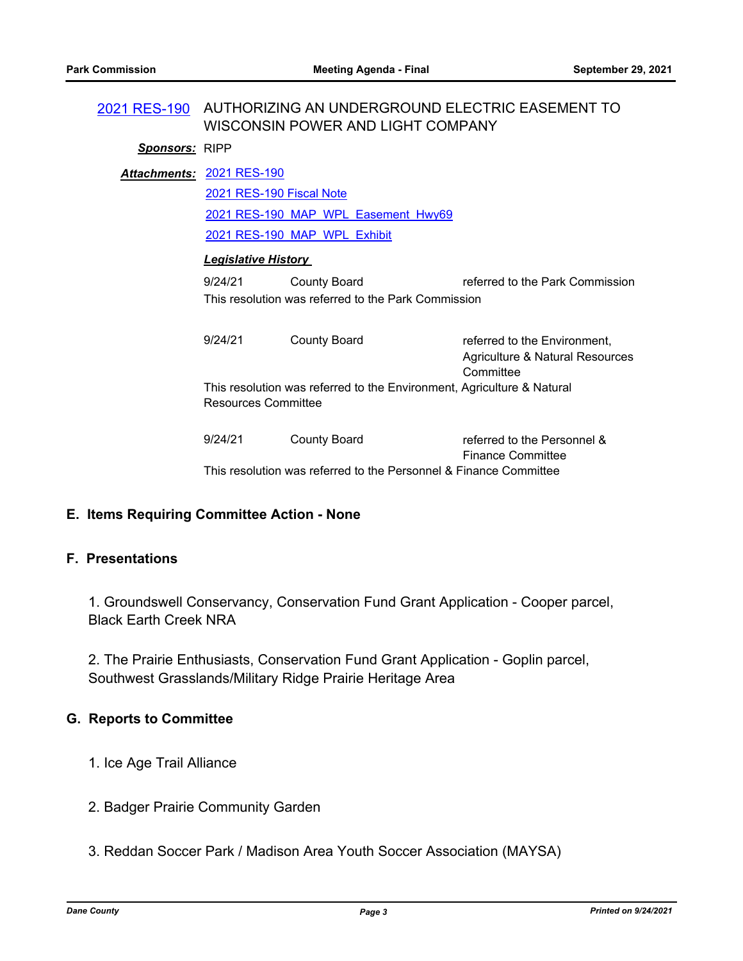|                       | 2021 RES-190 AUTHORIZING AN UNDERGROUND ELECTRIC EASEMENT TO                                  |                                                                   |                                 |  |  |
|-----------------------|-----------------------------------------------------------------------------------------------|-------------------------------------------------------------------|---------------------------------|--|--|
|                       | WISCONSIN POWER AND LIGHT COMPANY                                                             |                                                                   |                                 |  |  |
| <b>Sponsors: RIPP</b> |                                                                                               |                                                                   |                                 |  |  |
|                       | Attachments: 2021 RES-190                                                                     |                                                                   |                                 |  |  |
|                       | 2021 RES-190 Fiscal Note                                                                      |                                                                   |                                 |  |  |
|                       | 2021 RES-190 MAP WPL Easement Hwy69                                                           |                                                                   |                                 |  |  |
|                       |                                                                                               | 2021 RES-190 MAP WPL Exhibit                                      |                                 |  |  |
|                       | <b>Legislative History</b>                                                                    |                                                                   |                                 |  |  |
|                       | 9/24/21                                                                                       | <b>County Board</b>                                               | referred to the Park Commission |  |  |
|                       | This resolution was referred to the Park Commission                                           |                                                                   |                                 |  |  |
|                       |                                                                                               |                                                                   |                                 |  |  |
|                       | 9/24/21                                                                                       | <b>County Board</b>                                               | referred to the Environment,    |  |  |
|                       |                                                                                               |                                                                   | Agriculture & Natural Resources |  |  |
|                       |                                                                                               |                                                                   | Committee                       |  |  |
|                       | This resolution was referred to the Environment, Agriculture & Natural<br>Resources Committee |                                                                   |                                 |  |  |
|                       |                                                                                               |                                                                   |                                 |  |  |
|                       | 9/24/21                                                                                       | <b>County Board</b>                                               | referred to the Personnel &     |  |  |
|                       |                                                                                               |                                                                   | <b>Finance Committee</b>        |  |  |
|                       |                                                                                               | This resolution was referred to the Personnel & Finance Committee |                                 |  |  |

# **E. Items Requiring Committee Action - None**

### **F. Presentations**

1. Groundswell Conservancy, Conservation Fund Grant Application - Cooper parcel, Black Earth Creek NRA

2. The Prairie Enthusiasts, Conservation Fund Grant Application - Goplin parcel, Southwest Grasslands/Military Ridge Prairie Heritage Area

#### **G. Reports to Committee**

- 1. Ice Age Trail Alliance
- 2. Badger Prairie Community Garden
- 3. Reddan Soccer Park / Madison Area Youth Soccer Association (MAYSA)